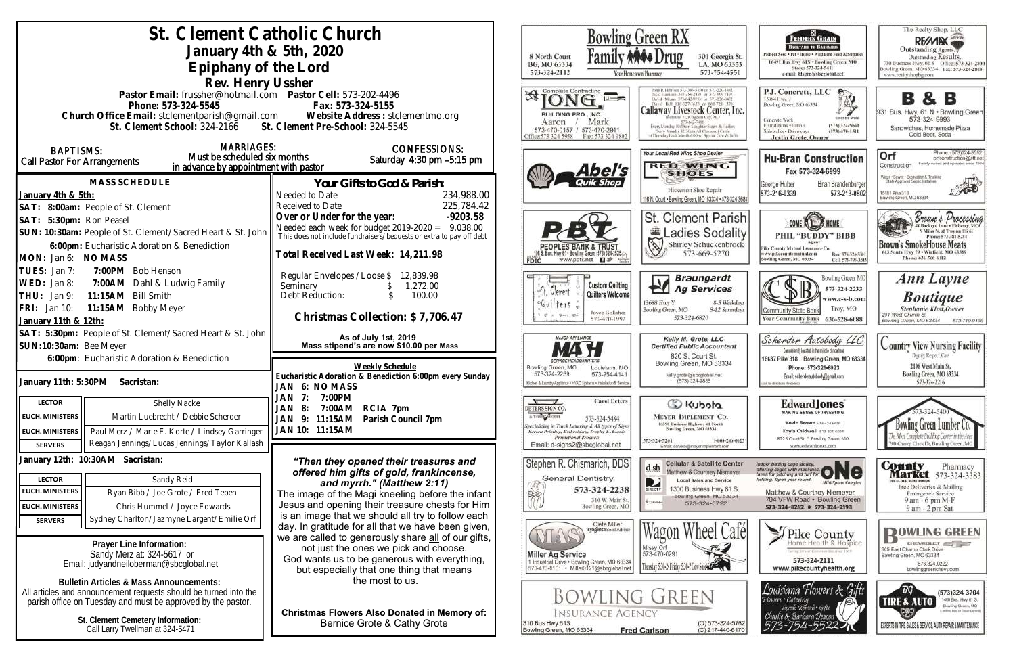| St. Clement Catholic Church                                                                                                                       |                                                                                                                           | <b>Bowling Green RX</b>                                                                                                             |                                                                                                 |
|---------------------------------------------------------------------------------------------------------------------------------------------------|---------------------------------------------------------------------------------------------------------------------------|-------------------------------------------------------------------------------------------------------------------------------------|-------------------------------------------------------------------------------------------------|
| January 4th $&$ 5th, 2020                                                                                                                         |                                                                                                                           | 8 North Court                                                                                                                       | 301 Georgia St.                                                                                 |
| Epiphany of the Lord                                                                                                                              |                                                                                                                           | BG, MO 63334<br>573-324-2112                                                                                                        | LA, MO 63353<br>573-754-4551                                                                    |
| Rev. Henry Ussher                                                                                                                                 |                                                                                                                           |                                                                                                                                     | Your Hometown Pharmacy                                                                          |
| Pastor Email: frussher@hotmail.com    Pastor Cell: 573-202-4496                                                                                   |                                                                                                                           | Complete Contracting                                                                                                                | David Means 373-642-9793; or 8                                                                  |
| Phone: 573-324-5545                                                                                                                               | Fax: 573-324-5155                                                                                                         | BUILDING PRO., INC.                                                                                                                 | <b>Callaway Livestock Center, Inc</b>                                                           |
| Church Office Email: stclementparish@gmail.com Website Address : stclementmo.org<br>St. Clement School: 324-2166 St. Clement Pre-School: 324-5545 |                                                                                                                           | Mark<br>Aaron                                                                                                                       | nute 70, Kingdom City, MO<br>Every Monday 10:99am Stinghter Steers & Heiler                     |
|                                                                                                                                                   |                                                                                                                           | 573-470-0157 / 573-470-2911<br>Office:573-324-5958<br>Fax: 573-324-9802                                                             | Every Monday 12:30pts All Classes of Cattle<br>at Thursday Each Month 6:00pm Special Cow & Bull |
| <b>MARRIAGES:</b><br><b>BAPTISMS:</b>                                                                                                             | <b>CONFESSIONS:</b>                                                                                                       |                                                                                                                                     | Your Local Red Wing Shoe Dealer                                                                 |
| Must be scheduled six months<br><b>Call Pastor For Arrangements</b><br>in advance by appointment with pastor                                      | Saturday 4:30 pm -5:15 pm                                                                                                 |                                                                                                                                     | <b>RED WING</b>                                                                                 |
| MASS SCHEDULE                                                                                                                                     |                                                                                                                           | Abel's                                                                                                                              | <b>SHOES</b>                                                                                    |
| January 4th & 5th:                                                                                                                                | <u>Your Gifts to God &amp; Parish:</u><br>234,988.00<br>Needed to Date                                                    |                                                                                                                                     | Hickerson Shoe Repair                                                                           |
| SAT: 8:00am: People of St. Clement                                                                                                                | 225,784.42<br>Received to Date                                                                                            |                                                                                                                                     | 116 N. Court . Bowling Green, MO 63334 . 573-324-36                                             |
| SAT: 5:30pm: Ron Peasel                                                                                                                           | Over or Under for the year:<br>$-9203.58$                                                                                 |                                                                                                                                     | <b>St. Clement Parisl</b>                                                                       |
| SUN: 10:30am: People of St. Clement/Sacred Heart & St. John                                                                                       | Needed each week for budget $2019-2020 = 9,038.00$<br>This does not include fundraisers/bequests or extra to pay off debt |                                                                                                                                     | Ladies Sodalit                                                                                  |
| 6:00pm: Eucharistic Adoration & Benediction                                                                                                       |                                                                                                                           |                                                                                                                                     | Shirley Schuckenbrock                                                                           |
| MON: Jan 6: NO MASS                                                                                                                               | Total Received Last Week: 14,211.98                                                                                       | www.pbtc.net <b>H</b>                                                                                                               | 573-669-5270                                                                                    |
| TUES: Jan 7:<br>7:00PM Bob Henson                                                                                                                 | Regular Envelopes / Loose \$<br>12,839.98                                                                                 |                                                                                                                                     | <b>Braungardt</b>                                                                               |
| WED: Jan 8:<br>7:00AM Dahl & Ludwig Family                                                                                                        | Seminary<br>1,272.00                                                                                                      | <b>Custom Quilting</b><br><sup>wit</sup> , Clement<br>Quilters Welcome                                                              | Y<br><b>Ag Services</b>                                                                         |
| 11:15AM Bill Smith<br>THU: $Jan 9:$                                                                                                               | Debt Reduction:<br>100.00                                                                                                 | 60i<br>ter <sub>s</sub>                                                                                                             | 13688 Huy Y<br>8-5 Weekday                                                                      |
| FRI: Jan 10:<br>11:15AM Bobby Meyer<br>January 11th & 12th:                                                                                       | Christmas Collection: \$7,706.47                                                                                          | Joyce Gollaher<br>573-470-1997                                                                                                      | Bowling Green, MO<br>8-12 Saturday<br>573-324-6820                                              |
| SAT: 5:30pm: People of St. Clement/Sacred Heart & St. John                                                                                        |                                                                                                                           |                                                                                                                                     |                                                                                                 |
| SUN:10:30am: Bee Meyer                                                                                                                            | As of July 1st, 2019<br>Mass stipend's are now \$10.00 per Mass                                                           | MAJOR APPLIANCE                                                                                                                     | Kelly M. Grote, LLC<br><b>Certified Public Accountant</b>                                       |
| 6:00pm: Eucharistic Adoration & Benediction                                                                                                       |                                                                                                                           |                                                                                                                                     | 820 S. Court St.<br>Bowling Green, MO 63334                                                     |
|                                                                                                                                                   | Weekly Schedule<br>Eucharistic Adoration & Benediction 6:00pm every Sunday                                                | Bowling Green, MO<br>Louisiana, MO<br>573-324-2259<br>573-754-4141                                                                  | kelly.grote@sbcglobal.net                                                                       |
| January 11th: 5:30PM<br>Sacristan:                                                                                                                | JAN 6: NOMASS                                                                                                             | Kitchen & Laundry Appliance - HVAC Systems - Installation & Service                                                                 | (573) 324-9885                                                                                  |
| <b>LECTOR</b><br>Shelly Nacke                                                                                                                     | JAN<br>7:00PM<br>7:<br>JAN<br>7:00AM<br>RCIA 7pm                                                                          | <b>Carol Deters</b><br>DETERS SIGN CO                                                                                               | S Kubota                                                                                        |
| <b>EUCH. MINISTERS</b><br>Martin Luebrecht / Debbie Scherder                                                                                      | - 8:<br>JAN 9: 11:15AM<br>Parish Council 7pm                                                                              | A T-SBIRT SHOPPE<br>573-324-5484                                                                                                    | <b>MEYER IMPLEMENT CO.</b>                                                                      |
| Paul Merz / Marie E. Korte / Lindsey Garringer<br><b>EUCH. MINISTERS</b>                                                                          | JAN 10: 11:15AM                                                                                                           | quecializing in Truck Lettering & All types of Signs<br>Screen Printing, Embroidery, Trophy & Awards<br><b>Promotional Products</b> | 16398 Business Highway 61 North<br>Bowling Green, MO 63334                                      |
| Reagan Jennings/Lucas Jennings/Taylor Kallash<br><b>SERVERS</b>                                                                                   |                                                                                                                           | Email: d-signs2@sbcglobal.net                                                                                                       | 1-800-246-062<br>573-324-5261<br>Email: service@meyerimplement.com                              |
| January 12th: 10:30AM Sacristan:                                                                                                                  | "Then they opened their treasures and                                                                                     | Stephen R. Chismarich, DDS                                                                                                          | <b>Cellular &amp; Satellite Center</b>                                                          |
| <b>LECTOR</b><br>Sandy Reid                                                                                                                       | offered him gifts of gold, frankincense,                                                                                  | <b>General Dentistry</b>                                                                                                            | d sh<br>Matthew & Courtney Niemeyer<br><b>Local Sales and Service</b>                           |
| <b>EUCH. MINISTERS</b><br>Ryan Bibb / Joe Grote / Fred Tepen                                                                                      | and myrrh." (Matthew 2:11)<br>The image of the Magi kneeling before the infant                                            | 573-324-2238<br>$\mathbb{S}_{\mathbb{Z}^2}$                                                                                         | D<br>1300 Business Hwy 61 S.<br>DIRECTV                                                         |
| <b>EUCH. MINISTERS</b><br>Chris Hummel / Joyce Edwards                                                                                            | Jesus and opening their treasure chests for Him                                                                           | 310 W. Main St.<br>Bowling Green, MO                                                                                                | Bowling Green, MO 63334<br>PUIDBE:<br>573-324-3722                                              |
| Sydney Charlton/Jazmyne Largent/Emilie Orf<br><b>SERVERS</b>                                                                                      | is an image that we should all try to follow each                                                                         |                                                                                                                                     |                                                                                                 |
|                                                                                                                                                   | day. In gratitude for all that we have been given,                                                                        | Clete Miller<br>syngenta Soud Advisor                                                                                               |                                                                                                 |
| Prayer Line Information:                                                                                                                          | we are called to generously share all of our gifts,<br>not just the ones we pick and choose.                              |                                                                                                                                     | Missy Orf                                                                                       |
| Sandy Merz at: 324-5617 or<br>Email: judyandneiloberman@sbcglobal.net                                                                             | God wants us to be generous with everything,                                                                              | <b>Miller Ag Service</b><br>1 Industrial Drive . Bowling Green, MO 63334                                                            | 573-470-0291                                                                                    |
|                                                                                                                                                   | but especially that one thing that means                                                                                  | 573-470-0101 · Miller0121@sbcglobal.net                                                                                             | Thursday 5:30-2: Friday 5:30-2 Cow SubSection                                                   |
| <b>Bulletin Articles &amp; Mass Announcements:</b><br>All articles and announcement requests should be turned into the                            | the most to us.                                                                                                           |                                                                                                                                     |                                                                                                 |
| parish office on Tuesday and must be approved by the pastor.                                                                                      |                                                                                                                           | <b>BOWLING GREEN</b>                                                                                                                |                                                                                                 |
| St. Clement Cemetery Information:                                                                                                                 | <b>Christmas Flowers Also Donated in Memory of:</b>                                                                       | Insurance Agency                                                                                                                    |                                                                                                 |
| Call Larry Twellman at 324-5471                                                                                                                   | Bernice Grote & Cathy Grote                                                                                               | 310 Bus Hwy 61S<br>Bowling Green, MO 63334                                                                                          | (O) 573-324-576<br><b>Fred Carlson</b><br>(C) 217-440-617                                       |
|                                                                                                                                                   |                                                                                                                           |                                                                                                                                     |                                                                                                 |